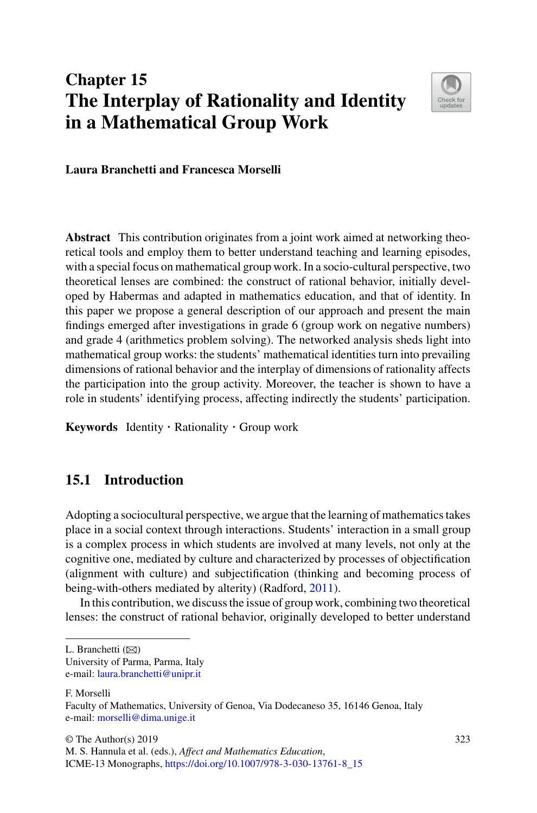# **Chapter 15 The Interplay of Rationality and Identity in a Mathematical Group Work**



**Laura Branchetti and Francesca Morselli**

**Abstract** This contribution originates from a joint work aimed at networking theoretical tools and employ them to better understand teaching and learning episodes, with a special focus on mathematical group work. In a socio-cultural perspective, two theoretical lenses are combined: the construct of rational behavior, initially developed by Habermas and adapted in mathematics education, and that of identity. In this paper we propose a general description of our approach and present the main findings emerged after investigations in grade 6 (group work on negative numbers) and grade 4 (arithmetics problem solving). The networked analysis sheds light into mathematical group works: the students' mathematical identities turn into prevailing dimensions of rational behavior and the interplay of dimensions of rationality affects the participation into the group activity. Moreover, the teacher is shown to have a role in students' identifying process, affecting indirectly the students' participation.

**Keywords** Identity · Rationality · Group work

# **15.1 Introduction**

Adopting a sociocultural perspective, we argue that the learning of mathematics takes place in a social context through interactions. Students' interaction in a small group is a complex process in which students are involved at many levels, not only at the cognitive one, mediated by culture and characterized by processes of objectification (alignment with culture) and subjectification (thinking and becoming process of being-with-others mediated by alterity) (Radford, [2011\)](#page-20-0).

In this contribution, we discuss the issue of group work, combining two theoretical lenses: the construct of rational behavior, originally developed to better understand

F. Morselli

L. Branchetti  $(\boxtimes)$ 

University of Parma, Parma, Italy e-mail: [laura.branchetti@unipr.it](mailto:laura.branchetti@unipr.it)

Faculty of Mathematics, University of Genoa, Via Dodecaneso 35, 16146 Genoa, Italy e-mail: [morselli@dima.unige.it](mailto:morselli@dima.unige.it)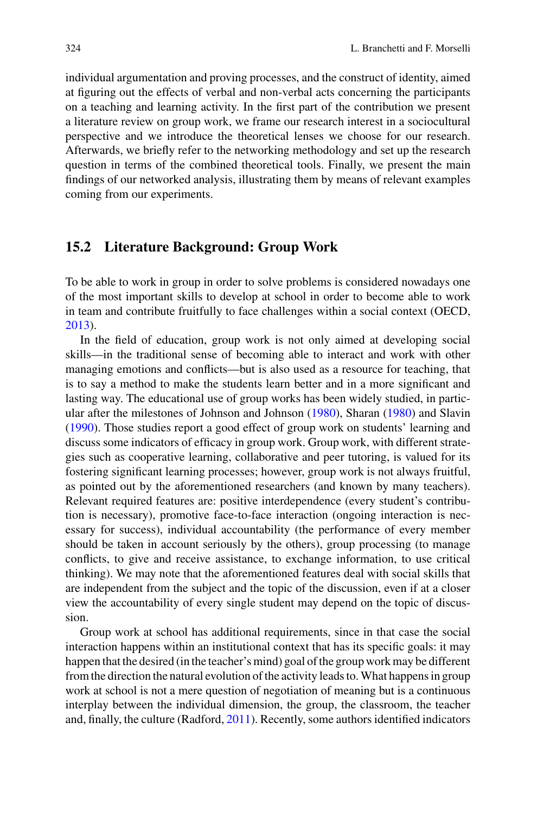individual argumentation and proving processes, and the construct of identity, aimed at figuring out the effects of verbal and non-verbal acts concerning the participants on a teaching and learning activity. In the first part of the contribution we present a literature review on group work, we frame our research interest in a sociocultural perspective and we introduce the theoretical lenses we choose for our research. Afterwards, we briefly refer to the networking methodology and set up the research question in terms of the combined theoretical tools. Finally, we present the main findings of our networked analysis, illustrating them by means of relevant examples coming from our experiments.

#### **15.2 Literature Background: Group Work**

To be able to work in group in order to solve problems is considered nowadays one of the most important skills to develop at school in order to become able to work in team and contribute fruitfully to face challenges within a social context (OECD, [2013\)](#page-19-0).

In the field of education, group work is not only aimed at developing social skills—in the traditional sense of becoming able to interact and work with other managing emotions and conflicts—but is also used as a resource for teaching, that is to say a method to make the students learn better and in a more significant and lasting way. The educational use of group works has been widely studied, in particular after the milestones of Johnson and Johnson [\(1980\)](#page-19-1), Sharan [\(1980\)](#page-20-1) and Slavin [\(1990\)](#page-20-2). Those studies report a good effect of group work on students' learning and discuss some indicators of efficacy in group work. Group work, with different strategies such as cooperative learning, collaborative and peer tutoring, is valued for its fostering significant learning processes; however, group work is not always fruitful, as pointed out by the aforementioned researchers (and known by many teachers). Relevant required features are: positive interdependence (every student's contribution is necessary), promotive face-to-face interaction (ongoing interaction is necessary for success), individual accountability (the performance of every member should be taken in account seriously by the others), group processing (to manage conflicts, to give and receive assistance, to exchange information, to use critical thinking). We may note that the aforementioned features deal with social skills that are independent from the subject and the topic of the discussion, even if at a closer view the accountability of every single student may depend on the topic of discussion.

Group work at school has additional requirements, since in that case the social interaction happens within an institutional context that has its specific goals: it may happen that the desired (in the teacher's mind) goal of the group work may be different from the direction the natural evolution of the activity leads to.What happens in group work at school is not a mere question of negotiation of meaning but is a continuous interplay between the individual dimension, the group, the classroom, the teacher and, finally, the culture (Radford, [2011\)](#page-20-0). Recently, some authors identified indicators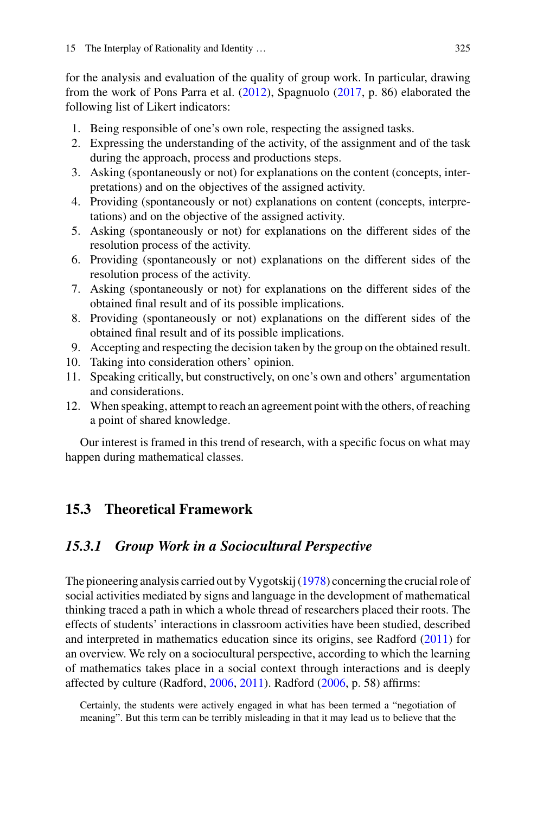for the analysis and evaluation of the quality of group work. In particular, drawing from the work of Pons Parra et al. [\(2012\)](#page-19-2), Spagnuolo [\(2017,](#page-20-3) p. 86) elaborated the following list of Likert indicators:

- 1. Being responsible of one's own role, respecting the assigned tasks.
- 2. Expressing the understanding of the activity, of the assignment and of the task during the approach, process and productions steps.
- 3. Asking (spontaneously or not) for explanations on the content (concepts, interpretations) and on the objectives of the assigned activity.
- 4. Providing (spontaneously or not) explanations on content (concepts, interpretations) and on the objective of the assigned activity.
- 5. Asking (spontaneously or not) for explanations on the different sides of the resolution process of the activity.
- 6. Providing (spontaneously or not) explanations on the different sides of the resolution process of the activity.
- 7. Asking (spontaneously or not) for explanations on the different sides of the obtained final result and of its possible implications.
- 8. Providing (spontaneously or not) explanations on the different sides of the obtained final result and of its possible implications.
- 9. Accepting and respecting the decision taken by the group on the obtained result.
- 10. Taking into consideration others' opinion.
- 11. Speaking critically, but constructively, on one's own and others' argumentation and considerations.
- 12. When speaking, attempt to reach an agreement point with the others, of reaching a point of shared knowledge.

Our interest is framed in this trend of research, with a specific focus on what may happen during mathematical classes.

# **15.3 Theoretical Framework**

#### *15.3.1 Group Work in a Sociocultural Perspective*

The pioneering analysis carried out by Vygotskij [\(1978\)](#page-20-4) concerning the crucial role of social activities mediated by signs and language in the development of mathematical thinking traced a path in which a whole thread of researchers placed their roots. The effects of students' interactions in classroom activities have been studied, described and interpreted in mathematics education since its origins, see Radford [\(2011\)](#page-20-0) for an overview. We rely on a sociocultural perspective, according to which the learning of mathematics takes place in a social context through interactions and is deeply affected by culture (Radford, [2006,](#page-19-3) [2011\)](#page-20-0). Radford [\(2006,](#page-19-3) p. 58) affirms:

Certainly, the students were actively engaged in what has been termed a "negotiation of meaning". But this term can be terribly misleading in that it may lead us to believe that the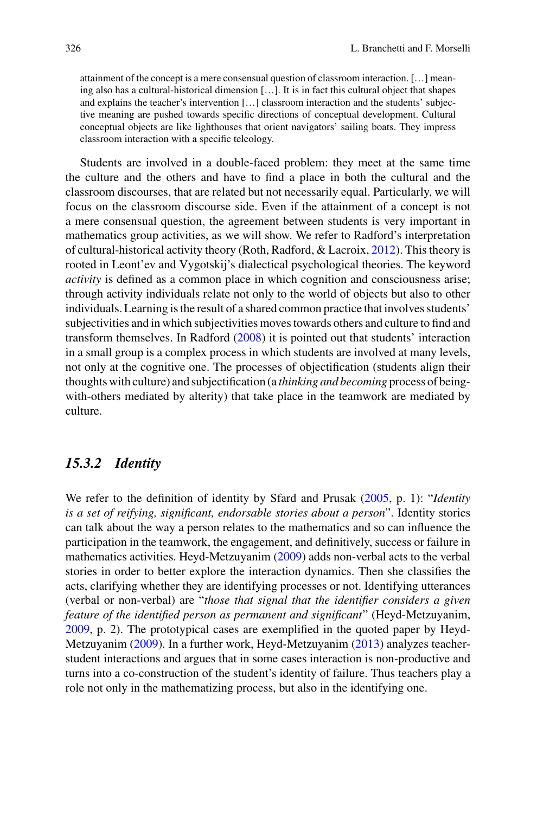attainment of the concept is a mere consensual question of classroom interaction. […] meaning also has a cultural-historical dimension […]. It is in fact this cultural object that shapes and explains the teacher's intervention […] classroom interaction and the students' subjective meaning are pushed towards specific directions of conceptual development. Cultural conceptual objects are like lighthouses that orient navigators' sailing boats. They impress classroom interaction with a specific teleology.

Students are involved in a double-faced problem: they meet at the same time the culture and the others and have to find a place in both the cultural and the classroom discourses, that are related but not necessarily equal. Particularly, we will focus on the classroom discourse side. Even if the attainment of a concept is not a mere consensual question, the agreement between students is very important in mathematics group activities, as we will show. We refer to Radford's interpretation of cultural-historical activity theory (Roth, Radford, & Lacroix, [2012\)](#page-20-5). This theory is rooted in Leont'ev and Vygotskij's dialectical psychological theories. The keyword *activity* is defined as a common place in which cognition and consciousness arise; through activity individuals relate not only to the world of objects but also to other individuals. Learning is the result of a shared common practice that involves students' subjectivities and in which subjectivities moves towards others and culture to find and transform themselves. In Radford [\(2008\)](#page-20-6) it is pointed out that students' interaction in a small group is a complex process in which students are involved at many levels, not only at the cognitive one. The processes of objectification (students align their thoughts with culture) and subjectification (a *thinking and becoming* process of beingwith-others mediated by alterity) that take place in the teamwork are mediated by culture.

#### *15.3.2 Identity*

We refer to the definition of identity by Sfard and Prusak [\(2005,](#page-20-7) p. 1): "*Identity is a set of reifying, significant, endorsable stories about a person*". Identity stories can talk about the way a person relates to the mathematics and so can influence the participation in the teamwork, the engagement, and definitively, success or failure in mathematics activities. Heyd-Metzuyanim [\(2009\)](#page-19-4) adds non-verbal acts to the verbal stories in order to better explore the interaction dynamics. Then she classifies the acts, clarifying whether they are identifying processes or not. Identifying utterances (verbal or non-verbal) are "*those that signal that the identifier considers a given feature of the identified person as permanent and significant*" (Heyd-Metzuyanim, [2009,](#page-19-4) p. 2). The prototypical cases are exemplified in the quoted paper by Heyd-Metzuyanim [\(2009\)](#page-19-4). In a further work, Heyd-Metzuyanim [\(2013\)](#page-19-5) analyzes teacherstudent interactions and argues that in some cases interaction is non-productive and turns into a co-construction of the student's identity of failure. Thus teachers play a role not only in the mathematizing process, but also in the identifying one.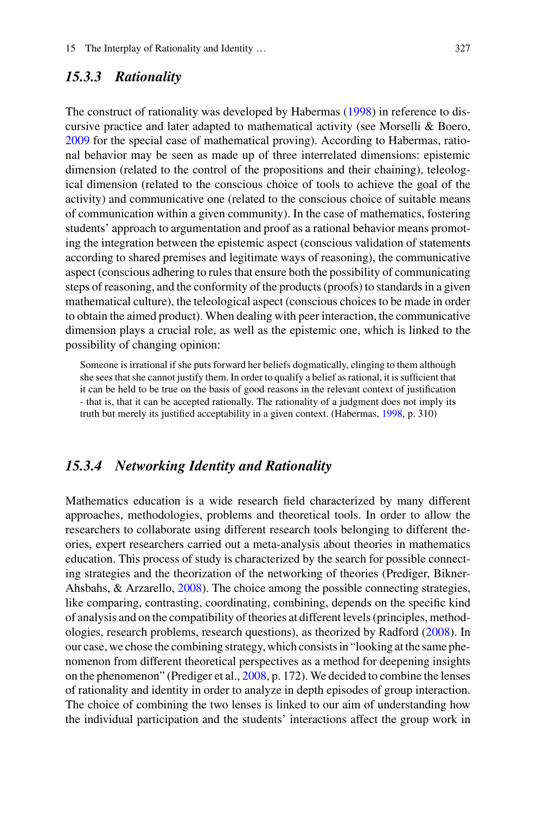#### *15.3.3 Rationality*

The construct of rationality was developed by Habermas [\(1998\)](#page-19-6) in reference to discursive practice and later adapted to mathematical activity (see Morselli & Boero, [2009](#page-19-7) for the special case of mathematical proving). According to Habermas, rational behavior may be seen as made up of three interrelated dimensions: epistemic dimension (related to the control of the propositions and their chaining), teleological dimension (related to the conscious choice of tools to achieve the goal of the activity) and communicative one (related to the conscious choice of suitable means of communication within a given community). In the case of mathematics, fostering students' approach to argumentation and proof as a rational behavior means promoting the integration between the epistemic aspect (conscious validation of statements according to shared premises and legitimate ways of reasoning), the communicative aspect (conscious adhering to rules that ensure both the possibility of communicating steps of reasoning, and the conformity of the products (proofs) to standards in a given mathematical culture), the teleological aspect (conscious choices to be made in order to obtain the aimed product). When dealing with peer interaction, the communicative dimension plays a crucial role, as well as the epistemic one, which is linked to the possibility of changing opinion:

Someone is irrational if she puts forward her beliefs dogmatically, clinging to them although she sees that she cannot justify them. In order to qualify a belief as rational, it is sufficient that it can be held to be true on the basis of good reasons in the relevant context of justification - that is, that it can be accepted rationally. The rationality of a judgment does not imply its truth but merely its justified acceptability in a given context. (Habermas, [1998,](#page-19-6) p. 310)

### *15.3.4 Networking Identity and Rationality*

Mathematics education is a wide research field characterized by many different approaches, methodologies, problems and theoretical tools. In order to allow the researchers to collaborate using different research tools belonging to different theories, expert researchers carried out a meta-analysis about theories in mathematics education. This process of study is characterized by the search for possible connecting strategies and the theorization of the networking of theories (Prediger, Bikner-Ahsbahs, & Arzarello, [2008\)](#page-19-8). The choice among the possible connecting strategies, like comparing, contrasting, coordinating, combining, depends on the specific kind of analysis and on the compatibility of theories at different levels (principles, methodologies, research problems, research questions), as theorized by Radford [\(2008\)](#page-20-6). In our case, we chose the combining strategy, which consists in "looking at the same phenomenon from different theoretical perspectives as a method for deepening insights on the phenomenon" (Prediger et al., [2008,](#page-19-8) p. 172). We decided to combine the lenses of rationality and identity in order to analyze in depth episodes of group interaction. The choice of combining the two lenses is linked to our aim of understanding how the individual participation and the students' interactions affect the group work in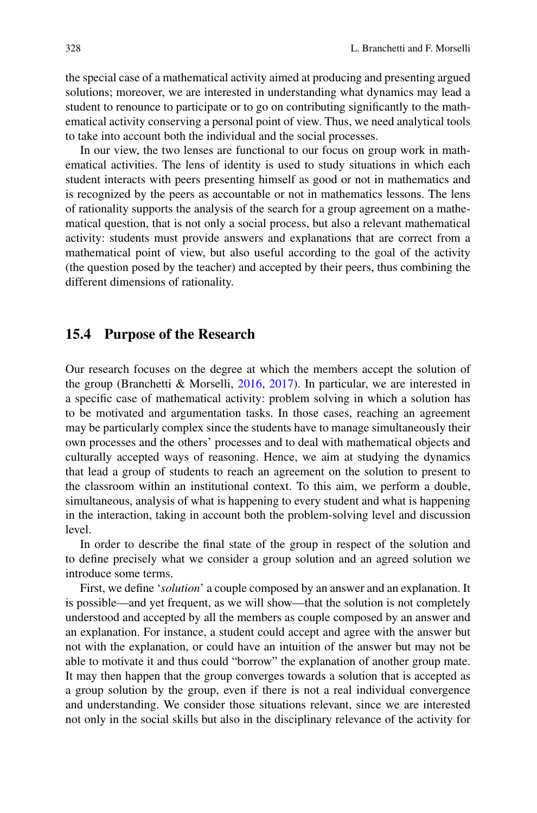the special case of a mathematical activity aimed at producing and presenting argued solutions; moreover, we are interested in understanding what dynamics may lead a student to renounce to participate or to go on contributing significantly to the mathematical activity conserving a personal point of view. Thus, we need analytical tools to take into account both the individual and the social processes.

In our view, the two lenses are functional to our focus on group work in mathematical activities. The lens of identity is used to study situations in which each student interacts with peers presenting himself as good or not in mathematics and is recognized by the peers as accountable or not in mathematics lessons. The lens of rationality supports the analysis of the search for a group agreement on a mathematical question, that is not only a social process, but also a relevant mathematical activity: students must provide answers and explanations that are correct from a mathematical point of view, but also useful according to the goal of the activity (the question posed by the teacher) and accepted by their peers, thus combining the different dimensions of rationality.

#### **15.4 Purpose of the Research**

Our research focuses on the degree at which the members accept the solution of the group (Branchetti & Morselli, [2016,](#page-19-9) [2017\)](#page-19-10). In particular, we are interested in a specific case of mathematical activity: problem solving in which a solution has to be motivated and argumentation tasks. In those cases, reaching an agreement may be particularly complex since the students have to manage simultaneously their own processes and the others' processes and to deal with mathematical objects and culturally accepted ways of reasoning. Hence, we aim at studying the dynamics that lead a group of students to reach an agreement on the solution to present to the classroom within an institutional context. To this aim, we perform a double, simultaneous, analysis of what is happening to every student and what is happening in the interaction, taking in account both the problem-solving level and discussion level.

In order to describe the final state of the group in respect of the solution and to define precisely what we consider a group solution and an agreed solution we introduce some terms.

First, we define '*solution*' a couple composed by an answer and an explanation. It is possible—and yet frequent, as we will show—that the solution is not completely understood and accepted by all the members as couple composed by an answer and an explanation. For instance, a student could accept and agree with the answer but not with the explanation, or could have an intuition of the answer but may not be able to motivate it and thus could "borrow" the explanation of another group mate. It may then happen that the group converges towards a solution that is accepted as a group solution by the group, even if there is not a real individual convergence and understanding. We consider those situations relevant, since we are interested not only in the social skills but also in the disciplinary relevance of the activity for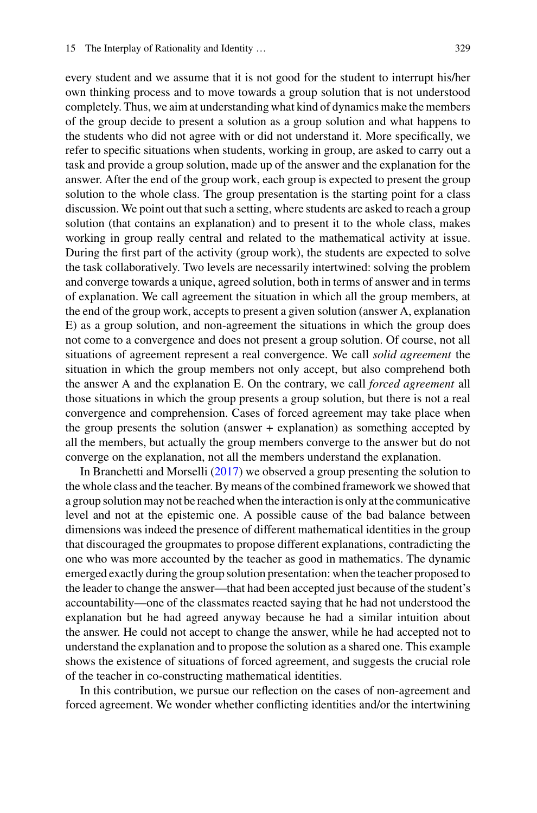every student and we assume that it is not good for the student to interrupt his/her own thinking process and to move towards a group solution that is not understood completely. Thus, we aim at understanding what kind of dynamics make the members of the group decide to present a solution as a group solution and what happens to the students who did not agree with or did not understand it. More specifically, we refer to specific situations when students, working in group, are asked to carry out a task and provide a group solution, made up of the answer and the explanation for the answer. After the end of the group work, each group is expected to present the group solution to the whole class. The group presentation is the starting point for a class discussion. We point out that such a setting, where students are asked to reach a group solution (that contains an explanation) and to present it to the whole class, makes working in group really central and related to the mathematical activity at issue. During the first part of the activity (group work), the students are expected to solve the task collaboratively. Two levels are necessarily intertwined: solving the problem and converge towards a unique, agreed solution, both in terms of answer and in terms of explanation. We call agreement the situation in which all the group members, at the end of the group work, accepts to present a given solution (answer A, explanation E) as a group solution, and non-agreement the situations in which the group does not come to a convergence and does not present a group solution. Of course, not all situations of agreement represent a real convergence. We call *solid agreement* the situation in which the group members not only accept, but also comprehend both the answer A and the explanation E. On the contrary, we call *forced agreement* all those situations in which the group presents a group solution, but there is not a real convergence and comprehension. Cases of forced agreement may take place when the group presents the solution (answer + explanation) as something accepted by all the members, but actually the group members converge to the answer but do not converge on the explanation, not all the members understand the explanation.

In Branchetti and Morselli [\(2017\)](#page-19-10) we observed a group presenting the solution to the whole class and the teacher. By means of the combined framework we showed that a group solution may not be reached when the interaction is only at the communicative level and not at the epistemic one. A possible cause of the bad balance between dimensions was indeed the presence of different mathematical identities in the group that discouraged the groupmates to propose different explanations, contradicting the one who was more accounted by the teacher as good in mathematics. The dynamic emerged exactly during the group solution presentation: when the teacher proposed to the leader to change the answer—that had been accepted just because of the student's accountability—one of the classmates reacted saying that he had not understood the explanation but he had agreed anyway because he had a similar intuition about the answer. He could not accept to change the answer, while he had accepted not to understand the explanation and to propose the solution as a shared one. This example shows the existence of situations of forced agreement, and suggests the crucial role of the teacher in co-constructing mathematical identities.

In this contribution, we pursue our reflection on the cases of non-agreement and forced agreement. We wonder whether conflicting identities and/or the intertwining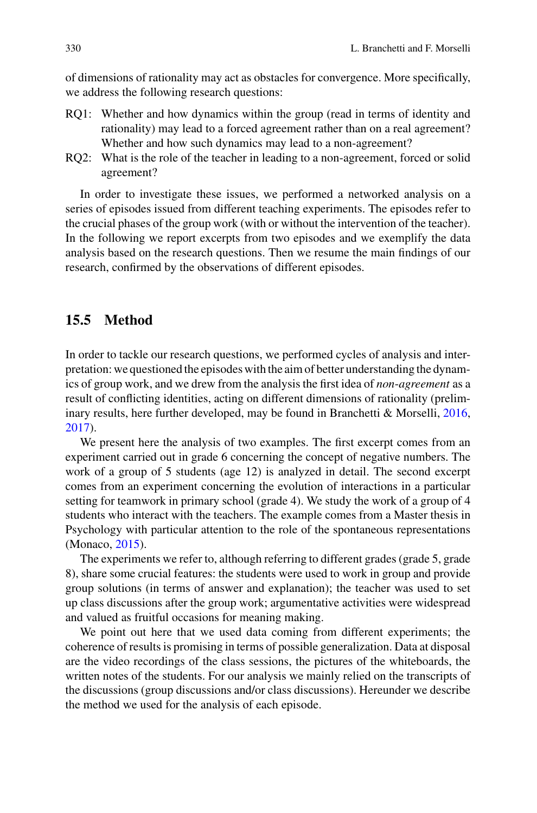of dimensions of rationality may act as obstacles for convergence. More specifically, we address the following research questions:

- RQ1: Whether and how dynamics within the group (read in terms of identity and rationality) may lead to a forced agreement rather than on a real agreement? Whether and how such dynamics may lead to a non-agreement?
- RQ2: What is the role of the teacher in leading to a non-agreement, forced or solid agreement?

In order to investigate these issues, we performed a networked analysis on a series of episodes issued from different teaching experiments. The episodes refer to the crucial phases of the group work (with or without the intervention of the teacher). In the following we report excerpts from two episodes and we exemplify the data analysis based on the research questions. Then we resume the main findings of our research, confirmed by the observations of different episodes.

### **15.5 Method**

In order to tackle our research questions, we performed cycles of analysis and interpretation: we questioned the episodes with the aim of better understanding the dynamics of group work, and we drew from the analysis the first idea of *non*-*agreement* as a result of conflicting identities, acting on different dimensions of rationality (preliminary results, here further developed, may be found in Branchetti & Morselli, [2016,](#page-19-9) [2017\)](#page-19-10).

We present here the analysis of two examples. The first excerpt comes from an experiment carried out in grade 6 concerning the concept of negative numbers. The work of a group of 5 students (age 12) is analyzed in detail. The second excerpt comes from an experiment concerning the evolution of interactions in a particular setting for teamwork in primary school (grade 4). We study the work of a group of 4 students who interact with the teachers. The example comes from a Master thesis in Psychology with particular attention to the role of the spontaneous representations (Monaco, [2015\)](#page-19-11).

The experiments we refer to, although referring to different grades (grade 5, grade 8), share some crucial features: the students were used to work in group and provide group solutions (in terms of answer and explanation); the teacher was used to set up class discussions after the group work; argumentative activities were widespread and valued as fruitful occasions for meaning making.

We point out here that we used data coming from different experiments; the coherence of results is promising in terms of possible generalization. Data at disposal are the video recordings of the class sessions, the pictures of the whiteboards, the written notes of the students. For our analysis we mainly relied on the transcripts of the discussions (group discussions and/or class discussions). Hereunder we describe the method we used for the analysis of each episode.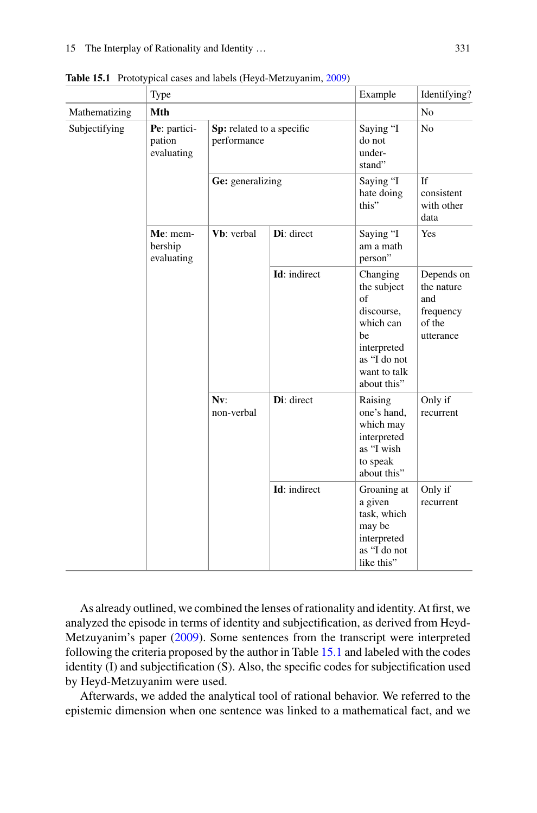<span id="page-8-0"></span>

|               | Type                                 |                                          |              | Example                                                                                                                      | Identifying?                                                        |
|---------------|--------------------------------------|------------------------------------------|--------------|------------------------------------------------------------------------------------------------------------------------------|---------------------------------------------------------------------|
| Mathematizing | Mth                                  |                                          |              |                                                                                                                              | N <sub>o</sub>                                                      |
| Subjectifying | Pe: partici-<br>pation<br>evaluating | Sp: related to a specific<br>performance |              | Saying "I<br>do not<br>under-<br>stand"                                                                                      | N <sub>o</sub>                                                      |
|               |                                      | Ge: generalizing                         |              | Saying "I<br>hate doing<br>this"                                                                                             | If<br>consistent<br>with other<br>data                              |
|               | Me: mem-<br>bership<br>evaluating    | Vb: verbal                               | Di: direct   | Saying "I<br>am a math<br>person"                                                                                            | Yes                                                                 |
|               |                                      |                                          | Id: indirect | Changing<br>the subject<br>of<br>discourse.<br>which can<br>be<br>interpreted<br>as "I do not<br>want to talk<br>about this" | Depends on<br>the nature<br>and<br>frequency<br>of the<br>utterance |
|               |                                      | $Nv$ :<br>non-verbal                     | Di: direct   | Raising<br>one's hand,<br>which may<br>interpreted<br>as "I wish<br>to speak<br>about this"                                  | Only if<br>recurrent                                                |
|               |                                      |                                          | Id: indirect | Groaning at<br>a given<br>task, which<br>may be<br>interpreted<br>as "I do not<br>like this"                                 | Only if<br>recurrent                                                |

**Table 15.1** Prototypical cases and labels (Heyd-Metzuyanim, [2009\)](#page-19-4)

As already outlined, we combined the lenses of rationality and identity. At first, we analyzed the episode in terms of identity and subjectification, as derived from Heyd-Metzuyanim's paper [\(2009\)](#page-19-4). Some sentences from the transcript were interpreted following the criteria proposed by the author in Table [15.1](#page-8-0) and labeled with the codes identity (I) and subjectification (S). Also, the specific codes for subjectification used by Heyd-Metzuyanim were used.

Afterwards, we added the analytical tool of rational behavior. We referred to the epistemic dimension when one sentence was linked to a mathematical fact, and we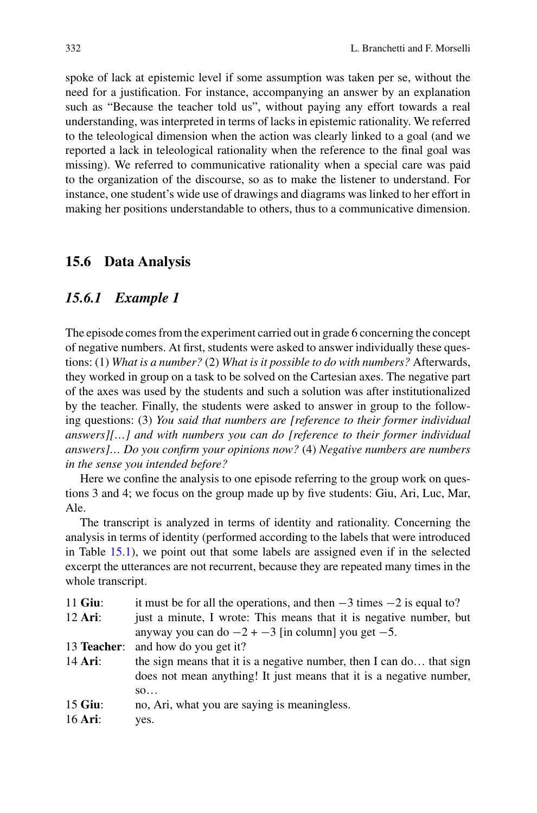spoke of lack at epistemic level if some assumption was taken per se, without the need for a justification. For instance, accompanying an answer by an explanation such as "Because the teacher told us", without paying any effort towards a real understanding, was interpreted in terms of lacks in epistemic rationality. We referred to the teleological dimension when the action was clearly linked to a goal (and we reported a lack in teleological rationality when the reference to the final goal was missing). We referred to communicative rationality when a special care was paid to the organization of the discourse, so as to make the listener to understand. For instance, one student's wide use of drawings and diagrams was linked to her effort in making her positions understandable to others, thus to a communicative dimension.

#### **15.6 Data Analysis**

#### *15.6.1 Example 1*

The episode comes from the experiment carried out in grade 6 concerning the concept of negative numbers. At first, students were asked to answer individually these questions: (1) *What is a number?* (2) *What is it possible to do with numbers?* Afterwards, they worked in group on a task to be solved on the Cartesian axes. The negative part of the axes was used by the students and such a solution was after institutionalized by the teacher. Finally, the students were asked to answer in group to the following questions: (3) *You said that numbers are [reference to their former individual answers][…] and with numbers you can do [reference to their former individual answers]… Do you confirm your opinions now?* (4) *Negative numbers are numbers in the sense you intended before?*

Here we confine the analysis to one episode referring to the group work on questions 3 and 4; we focus on the group made up by five students: Giu, Ari, Luc, Mar, Ale.

The transcript is analyzed in terms of identity and rationality. Concerning the analysis in terms of identity (performed according to the labels that were introduced in Table [15.1\)](#page-8-0), we point out that some labels are assigned even if in the selected excerpt the utterances are not recurrent, because they are repeated many times in the whole transcript.

| it must be for all the operations, and then $-3$ times $-2$ is equal to? |
|--------------------------------------------------------------------------|
| just a minute, I wrote: This means that it is negative number, but       |
| anyway you can do $-2 + -3$ [in column] you get $-5$ .                   |
| and how do you get it?                                                   |
| the sign means that it is a negative number, then I can do that sign     |
| does not mean anything! It just means that it is a negative number,      |
| SO                                                                       |
| no, Ari, what you are saying is meaningless.                             |
| yes.                                                                     |
| 13 Teacher:                                                              |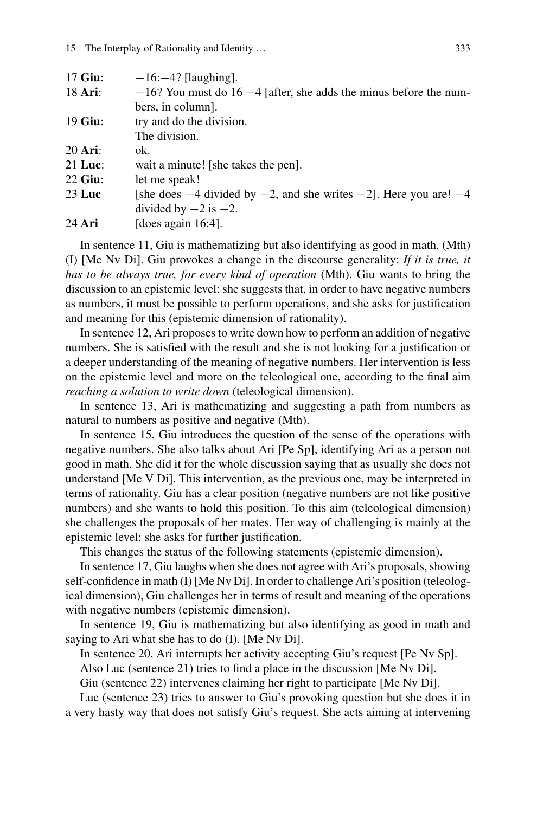| $17$ Giu: | $-16$ : $-4$ ? [laughing].                                                 |
|-----------|----------------------------------------------------------------------------|
| 18 Ari:   | $-16$ ? You must do 16 $-4$ [after, she adds the minus before the num-     |
|           | bers, in column].                                                          |
| $19$ Giu: | try and do the division.                                                   |
|           | The division.                                                              |
| $20$ Ari: | ok.                                                                        |
| $21$ Luc: | wait a minute! [she takes the pen].                                        |
| $22$ Giu: | let me speak!                                                              |
| $23$ Luc  | [she does $-4$ divided by $-2$ , and she writes $-2$ ]. Here you are! $-4$ |
|           | divided by $-2$ is $-2$ .                                                  |
| 24 Ari    | [does again $16:4$ ].                                                      |
|           |                                                                            |

In sentence 11, Giu is mathematizing but also identifying as good in math. (Mth) (I) [Me Nv Di]. Giu provokes a change in the discourse generality: *If it is true, it has to be always true, for every kind of operation* (Mth). Giu wants to bring the discussion to an epistemic level: she suggests that, in order to have negative numbers as numbers, it must be possible to perform operations, and she asks for justification and meaning for this (epistemic dimension of rationality).

In sentence 12, Ari proposes to write down how to perform an addition of negative numbers. She is satisfied with the result and she is not looking for a justification or a deeper understanding of the meaning of negative numbers. Her intervention is less on the epistemic level and more on the teleological one, according to the final aim *reaching a solution to write down* (teleological dimension).

In sentence 13, Ari is mathematizing and suggesting a path from numbers as natural to numbers as positive and negative (Mth).

In sentence 15, Giu introduces the question of the sense of the operations with negative numbers. She also talks about Ari [Pe Sp], identifying Ari as a person not good in math. She did it for the whole discussion saying that as usually she does not understand [Me V Di]. This intervention, as the previous one, may be interpreted in terms of rationality. Giu has a clear position (negative numbers are not like positive numbers) and she wants to hold this position. To this aim (teleological dimension) she challenges the proposals of her mates. Her way of challenging is mainly at the epistemic level: she asks for further justification.

This changes the status of the following statements (epistemic dimension).

In sentence 17, Giu laughs when she does not agree with Ari's proposals, showing self-confidence in math (I) [Me Nv Di]. In order to challenge Ari's position (teleological dimension), Giu challenges her in terms of result and meaning of the operations with negative numbers (epistemic dimension).

In sentence 19, Giu is mathematizing but also identifying as good in math and saying to Ari what she has to do (I). [Me Nv Di].

In sentence 20, Ari interrupts her activity accepting Giu's request [Pe Nv Sp].

Also Luc (sentence 21) tries to find a place in the discussion [Me Nv Di].

Giu (sentence 22) intervenes claiming her right to participate [Me Nv Di].

Luc (sentence 23) tries to answer to Giu's provoking question but she does it in a very hasty way that does not satisfy Giu's request. She acts aiming at intervening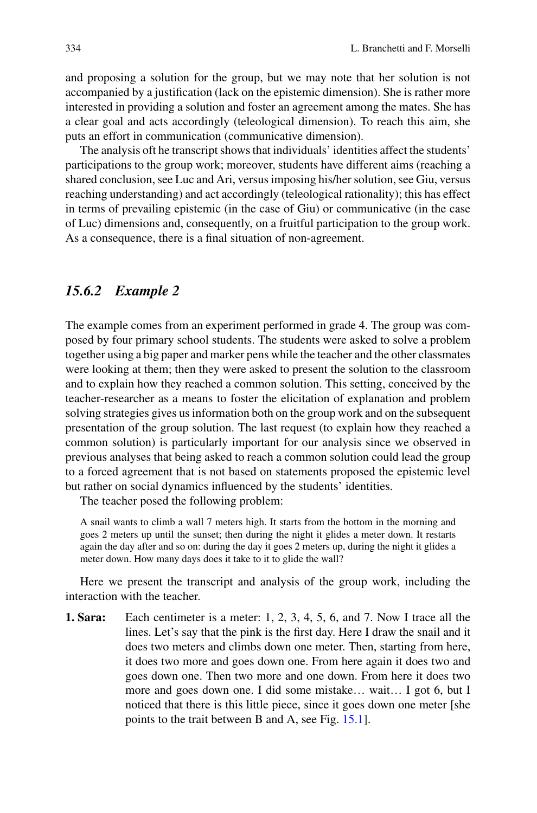and proposing a solution for the group, but we may note that her solution is not accompanied by a justification (lack on the epistemic dimension). She is rather more interested in providing a solution and foster an agreement among the mates. She has a clear goal and acts accordingly (teleological dimension). To reach this aim, she puts an effort in communication (communicative dimension).

The analysis oft he transcript shows that individuals' identities affect the students' participations to the group work; moreover, students have different aims (reaching a shared conclusion, see Luc and Ari, versus imposing his/her solution, see Giu, versus reaching understanding) and act accordingly (teleological rationality); this has effect in terms of prevailing epistemic (in the case of Giu) or communicative (in the case of Luc) dimensions and, consequently, on a fruitful participation to the group work. As a consequence, there is a final situation of non-agreement.

#### *15.6.2 Example 2*

The example comes from an experiment performed in grade 4. The group was composed by four primary school students. The students were asked to solve a problem together using a big paper and marker pens while the teacher and the other classmates were looking at them; then they were asked to present the solution to the classroom and to explain how they reached a common solution. This setting, conceived by the teacher-researcher as a means to foster the elicitation of explanation and problem solving strategies gives us information both on the group work and on the subsequent presentation of the group solution. The last request (to explain how they reached a common solution) is particularly important for our analysis since we observed in previous analyses that being asked to reach a common solution could lead the group to a forced agreement that is not based on statements proposed the epistemic level but rather on social dynamics influenced by the students' identities.

The teacher posed the following problem:

A snail wants to climb a wall 7 meters high. It starts from the bottom in the morning and goes 2 meters up until the sunset; then during the night it glides a meter down. It restarts again the day after and so on: during the day it goes 2 meters up, during the night it glides a meter down. How many days does it take to it to glide the wall?

Here we present the transcript and analysis of the group work, including the interaction with the teacher.

**1. Sara:** Each centimeter is a meter: 1, 2, 3, 4, 5, 6, and 7. Now I trace all the lines. Let's say that the pink is the first day. Here I draw the snail and it does two meters and climbs down one meter. Then, starting from here, it does two more and goes down one. From here again it does two and goes down one. Then two more and one down. From here it does two more and goes down one. I did some mistake… wait… I got 6, but I noticed that there is this little piece, since it goes down one meter [she points to the trait between B and A, see Fig. [15.1\]](#page-12-0).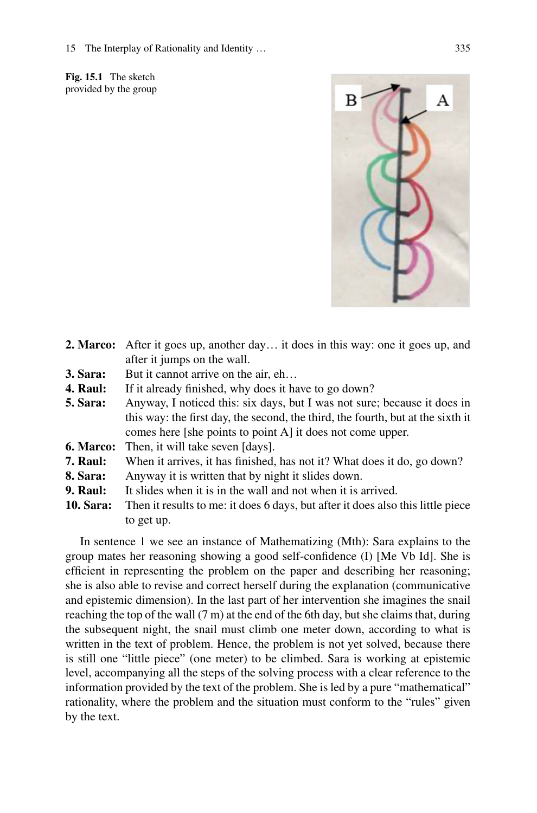<span id="page-12-0"></span>**Fig. 15.1** The sketch provided by the group



- **2. Marco:** After it goes up, another day… it does in this way: one it goes up, and after it jumps on the wall.
- **3. Sara:** But it cannot arrive on the air, eh…
- **4. Raul:** If it already finished, why does it have to go down?
- **5. Sara:** Anyway, I noticed this: six days, but I was not sure; because it does in this way: the first day, the second, the third, the fourth, but at the sixth it comes here [she points to point A] it does not come upper.
- **6. Marco:** Then, it will take seven [days].
- **7. Raul:** When it arrives, it has finished, has not it? What does it do, go down?
- **8. Sara:** Anyway it is written that by night it slides down.
- **9. Raul:** It slides when it is in the wall and not when it is arrived.
- **10. Sara:** Then it results to me: it does 6 days, but after it does also this little piece to get up.

In sentence 1 we see an instance of Mathematizing (Mth): Sara explains to the group mates her reasoning showing a good self-confidence (I) [Me Vb Id]. She is efficient in representing the problem on the paper and describing her reasoning; she is also able to revise and correct herself during the explanation (communicative and epistemic dimension). In the last part of her intervention she imagines the snail reaching the top of the wall  $(7 \text{ m})$  at the end of the 6th day, but she claims that, during the subsequent night, the snail must climb one meter down, according to what is written in the text of problem. Hence, the problem is not yet solved, because there is still one "little piece" (one meter) to be climbed. Sara is working at epistemic level, accompanying all the steps of the solving process with a clear reference to the information provided by the text of the problem. She is led by a pure "mathematical" rationality, where the problem and the situation must conform to the "rules" given by the text.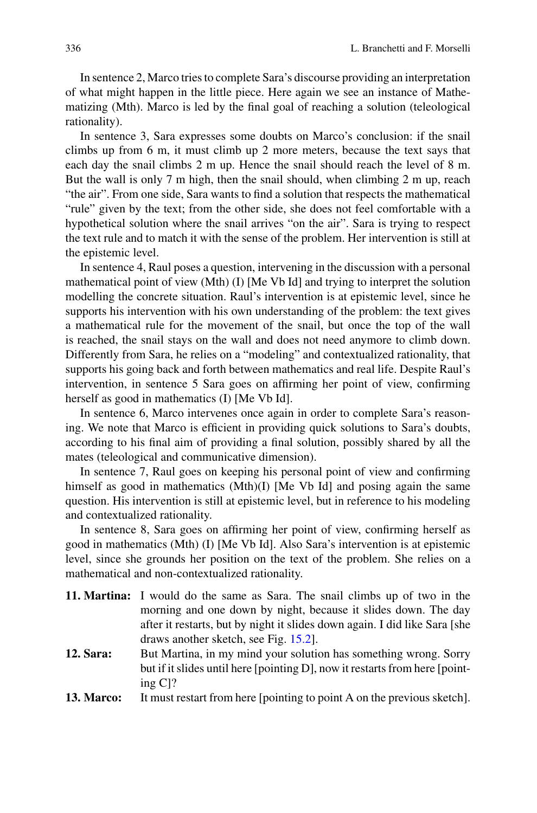In sentence 2, Marco tries to complete Sara's discourse providing an interpretation of what might happen in the little piece. Here again we see an instance of Mathematizing (Mth). Marco is led by the final goal of reaching a solution (teleological rationality).

In sentence 3, Sara expresses some doubts on Marco's conclusion: if the snail climbs up from 6 m, it must climb up 2 more meters, because the text says that each day the snail climbs 2 m up. Hence the snail should reach the level of 8 m. But the wall is only 7 m high, then the snail should, when climbing 2 m up, reach "the air". From one side, Sara wants to find a solution that respects the mathematical "rule" given by the text; from the other side, she does not feel comfortable with a hypothetical solution where the snail arrives "on the air". Sara is trying to respect the text rule and to match it with the sense of the problem. Her intervention is still at the epistemic level.

In sentence 4, Raul poses a question, intervening in the discussion with a personal mathematical point of view (Mth) (I) [Me Vb Id] and trying to interpret the solution modelling the concrete situation. Raul's intervention is at epistemic level, since he supports his intervention with his own understanding of the problem: the text gives a mathematical rule for the movement of the snail, but once the top of the wall is reached, the snail stays on the wall and does not need anymore to climb down. Differently from Sara, he relies on a "modeling" and contextualized rationality, that supports his going back and forth between mathematics and real life. Despite Raul's intervention, in sentence 5 Sara goes on affirming her point of view, confirming herself as good in mathematics (I) [Me Vb Id].

In sentence 6, Marco intervenes once again in order to complete Sara's reasoning. We note that Marco is efficient in providing quick solutions to Sara's doubts, according to his final aim of providing a final solution, possibly shared by all the mates (teleological and communicative dimension).

In sentence 7, Raul goes on keeping his personal point of view and confirming himself as good in mathematics (Mth)(I) [Me Vb Id] and posing again the same question. His intervention is still at epistemic level, but in reference to his modeling and contextualized rationality.

In sentence 8, Sara goes on affirming her point of view, confirming herself as good in mathematics (Mth) (I) [Me Vb Id]. Also Sara's intervention is at epistemic level, since she grounds her position on the text of the problem. She relies on a mathematical and non-contextualized rationality.

|                                 | <b>11. Martina:</b> I would do the same as Sara. The snail climbs up of two in the                                                                                                                                                                                                                                                                          |
|---------------------------------|-------------------------------------------------------------------------------------------------------------------------------------------------------------------------------------------------------------------------------------------------------------------------------------------------------------------------------------------------------------|
|                                 | morning and one down by night, because it slides down. The day                                                                                                                                                                                                                                                                                              |
|                                 | after it restarts, but by night it slides down again. I did like Sara [she                                                                                                                                                                                                                                                                                  |
|                                 | draws another sketch, see Fig. 15.2.                                                                                                                                                                                                                                                                                                                        |
| $\mathbf{A} \bullet \mathbf{B}$ | $P \cdot M$ . $P \cdot M$ . $P \cdot M$ . $P \cdot M$ . $P \cdot M$ . $P \cdot M$ . $P \cdot M$ . $P \cdot M$ . $P \cdot M$ . $P \cdot M$ . $P \cdot M$ . $P \cdot M$ . $P \cdot M$ . $P \cdot M$ . $P \cdot M$ . $P \cdot M$ . $P \cdot M$ . $P \cdot M$ . $P \cdot M$ . $P \cdot M$ . $P \cdot M$ . $P \cdot M$ . $P \cdot M$ . $P \cdot M$ . $P \cdot M$ |

- **12. Sara:** But Martina, in my mind your solution has something wrong. Sorry but if it slides until here [pointing D], now it restarts from here [pointing C]?
- **13. Marco:** It must restart from here [pointing to point A on the previous sketch].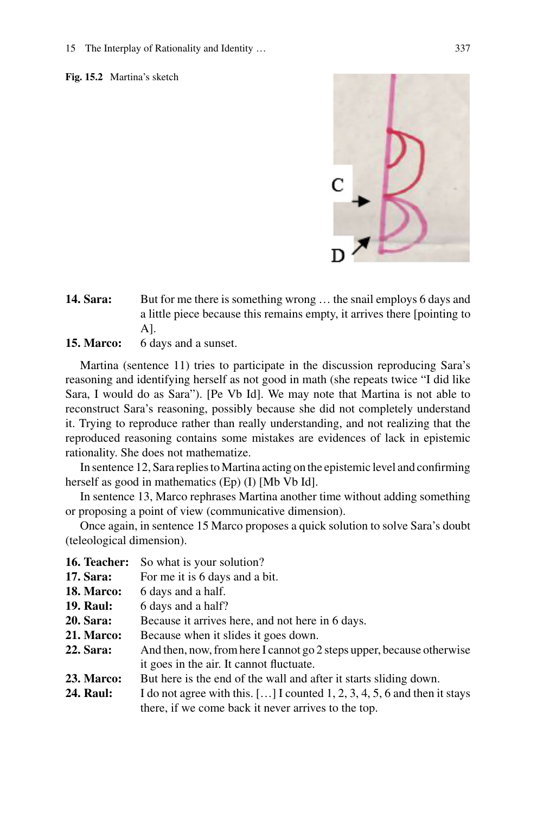#### <span id="page-14-0"></span>**Fig. 15.2** Martina's sketch



**14. Sara:** But for me there is something wrong ... the snail employs 6 days and a little piece because this remains empty, it arrives there [pointing to A].

**15. Marco:** 6 days and a sunset.

Martina (sentence 11) tries to participate in the discussion reproducing Sara's reasoning and identifying herself as not good in math (she repeats twice "I did like Sara, I would do as Sara"). [Pe Vb Id]. We may note that Martina is not able to reconstruct Sara's reasoning, possibly because she did not completely understand it. Trying to reproduce rather than really understanding, and not realizing that the reproduced reasoning contains some mistakes are evidences of lack in epistemic rationality. She does not mathematize.

In sentence 12, Sara replies to Martina acting on the epistemic level and confirming herself as good in mathematics (Ep) (I) [Mb Vb Id].

In sentence 13, Marco rephrases Martina another time without adding something or proposing a point of view (communicative dimension).

Once again, in sentence 15 Marco proposes a quick solution to solve Sara's doubt (teleological dimension).

| 16. Teacher:      | So what is your solution?                                                 |
|-------------------|---------------------------------------------------------------------------|
| 17. Sara:         | For me it is 6 days and a bit.                                            |
| 18. Marco:        | 6 days and a half.                                                        |
| <b>19. Raul:</b>  | 6 days and a half?                                                        |
| 20. Sara:         | Because it arrives here, and not here in 6 days.                          |
| <b>21. Marco:</b> | Because when it slides it goes down.                                      |
| 22. Sara:         | And then, now, from here I cannot go 2 steps upper, because otherwise     |
|                   | it goes in the air. It cannot fluctuate.                                  |
| <b>23. Marco:</b> | But here is the end of the wall and after it starts sliding down.         |
| <b>24. Raul:</b>  | I do not agree with this. [] I counted 1, 2, 3, 4, 5, 6 and then it stays |
|                   | there, if we come back it never arrives to the top.                       |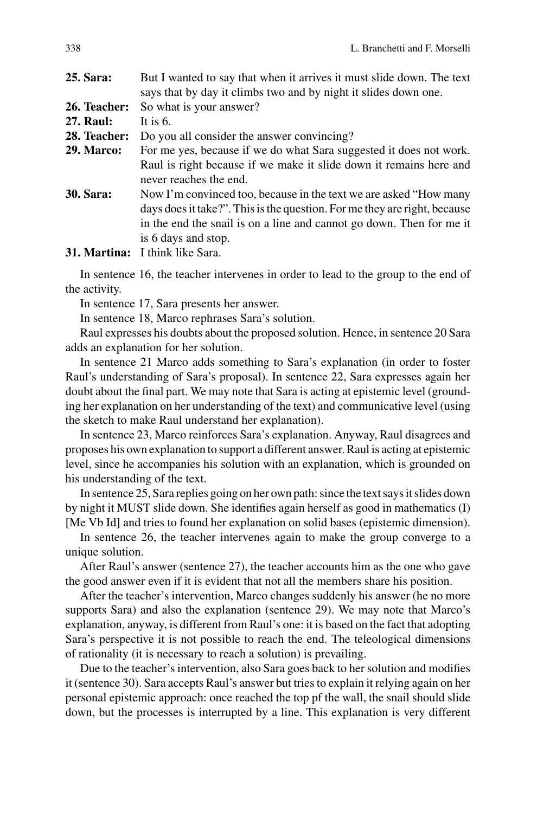| 25. Sara:         | But I wanted to say that when it arrives it must slide down. The text                                                                               |
|-------------------|-----------------------------------------------------------------------------------------------------------------------------------------------------|
|                   | says that by day it climbs two and by night it slides down one.                                                                                     |
| 26. Teacher:      | So what is your answer?                                                                                                                             |
| <b>27. Raul:</b>  | It is $6$ .                                                                                                                                         |
| 28. Teacher:      | Do you all consider the answer convincing?                                                                                                          |
| <b>29. Marco:</b> | For me yes, because if we do what Sara suggested it does not work.                                                                                  |
|                   | Raul is right because if we make it slide down it remains here and                                                                                  |
|                   | never reaches the end.                                                                                                                              |
| <b>30. Sara:</b>  | Now I'm convinced too, because in the text we are asked "How many"                                                                                  |
|                   | days does it take?". This is the question. For me they are right, because                                                                           |
|                   | in the end the snail is on a line and cannot go down. Then for me it                                                                                |
|                   | is 6 days and stop.                                                                                                                                 |
|                   | $\mathbf{r}$ , $\mathbf{r}$ , $\mathbf{r}$ , $\mathbf{r}$ , $\mathbf{r}$ , $\mathbf{r}$ , $\mathbf{r}$ , $\mathbf{r}$ , $\mathbf{r}$ , $\mathbf{r}$ |

**31. Martina:** I think like Sara.

In sentence 16, the teacher intervenes in order to lead to the group to the end of the activity.

In sentence 17, Sara presents her answer.

In sentence 18, Marco rephrases Sara's solution.

Raul expresses his doubts about the proposed solution. Hence, in sentence 20 Sara adds an explanation for her solution.

In sentence 21 Marco adds something to Sara's explanation (in order to foster Raul's understanding of Sara's proposal). In sentence 22, Sara expresses again her doubt about the final part. We may note that Sara is acting at epistemic level (grounding her explanation on her understanding of the text) and communicative level (using the sketch to make Raul understand her explanation).

In sentence 23, Marco reinforces Sara's explanation. Anyway, Raul disagrees and proposes his own explanation to support a different answer. Raul is acting at epistemic level, since he accompanies his solution with an explanation, which is grounded on his understanding of the text.

In sentence 25, Sara replies going on her own path: since the text says it slides down by night it MUST slide down. She identifies again herself as good in mathematics (I) [Me Vb Id] and tries to found her explanation on solid bases (epistemic dimension).

In sentence 26, the teacher intervenes again to make the group converge to a unique solution.

After Raul's answer (sentence 27), the teacher accounts him as the one who gave the good answer even if it is evident that not all the members share his position.

After the teacher's intervention, Marco changes suddenly his answer (he no more supports Sara) and also the explanation (sentence 29). We may note that Marco's explanation, anyway, is different from Raul's one: it is based on the fact that adopting Sara's perspective it is not possible to reach the end. The teleological dimensions of rationality (it is necessary to reach a solution) is prevailing.

Due to the teacher's intervention, also Sara goes back to her solution and modifies it (sentence 30). Sara accepts Raul's answer but tries to explain it relying again on her personal epistemic approach: once reached the top pf the wall, the snail should slide down, but the processes is interrupted by a line. This explanation is very different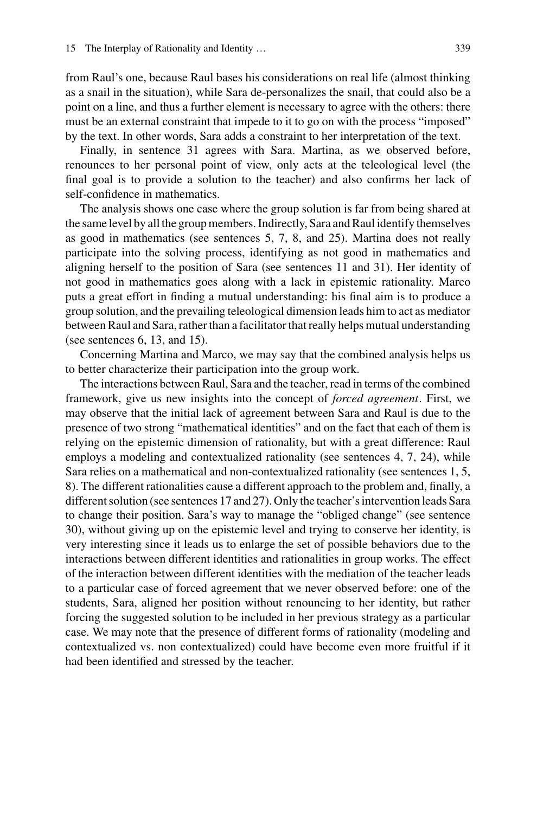from Raul's one, because Raul bases his considerations on real life (almost thinking as a snail in the situation), while Sara de-personalizes the snail, that could also be a point on a line, and thus a further element is necessary to agree with the others: there must be an external constraint that impede to it to go on with the process "imposed" by the text. In other words, Sara adds a constraint to her interpretation of the text.

Finally, in sentence 31 agrees with Sara. Martina, as we observed before, renounces to her personal point of view, only acts at the teleological level (the final goal is to provide a solution to the teacher) and also confirms her lack of self-confidence in mathematics.

The analysis shows one case where the group solution is far from being shared at the same level by all the group members. Indirectly, Sara and Raul identify themselves as good in mathematics (see sentences 5, 7, 8, and 25). Martina does not really participate into the solving process, identifying as not good in mathematics and aligning herself to the position of Sara (see sentences 11 and 31). Her identity of not good in mathematics goes along with a lack in epistemic rationality. Marco puts a great effort in finding a mutual understanding: his final aim is to produce a group solution, and the prevailing teleological dimension leads him to act as mediator between Raul and Sara, rather than a facilitator that really helps mutual understanding (see sentences 6, 13, and 15).

Concerning Martina and Marco, we may say that the combined analysis helps us to better characterize their participation into the group work.

The interactions between Raul, Sara and the teacher, read in terms of the combined framework, give us new insights into the concept of *forced agreement*. First, we may observe that the initial lack of agreement between Sara and Raul is due to the presence of two strong "mathematical identities" and on the fact that each of them is relying on the epistemic dimension of rationality, but with a great difference: Raul employs a modeling and contextualized rationality (see sentences 4, 7, 24), while Sara relies on a mathematical and non-contextualized rationality (see sentences 1, 5, 8). The different rationalities cause a different approach to the problem and, finally, a different solution (see sentences 17 and 27). Only the teacher's intervention leads Sara to change their position. Sara's way to manage the "obliged change" (see sentence 30), without giving up on the epistemic level and trying to conserve her identity, is very interesting since it leads us to enlarge the set of possible behaviors due to the interactions between different identities and rationalities in group works. The effect of the interaction between different identities with the mediation of the teacher leads to a particular case of forced agreement that we never observed before: one of the students, Sara, aligned her position without renouncing to her identity, but rather forcing the suggested solution to be included in her previous strategy as a particular case. We may note that the presence of different forms of rationality (modeling and contextualized vs. non contextualized) could have become even more fruitful if it had been identified and stressed by the teacher.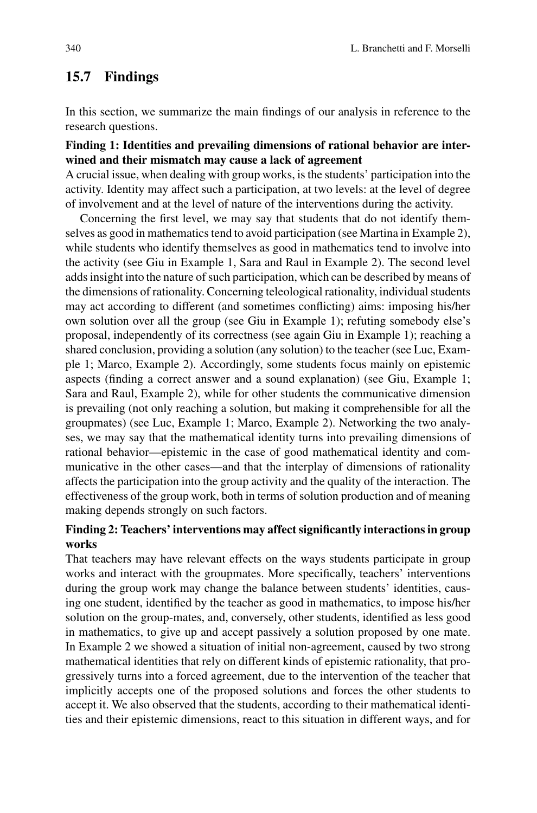# **15.7 Findings**

In this section, we summarize the main findings of our analysis in reference to the research questions.

#### **Finding 1: Identities and prevailing dimensions of rational behavior are interwined and their mismatch may cause a lack of agreement**

A crucial issue, when dealing with group works, is the students' participation into the activity. Identity may affect such a participation, at two levels: at the level of degree of involvement and at the level of nature of the interventions during the activity.

Concerning the first level, we may say that students that do not identify themselves as good in mathematics tend to avoid participation (see Martina in Example 2), while students who identify themselves as good in mathematics tend to involve into the activity (see Giu in Example 1, Sara and Raul in Example 2). The second level adds insight into the nature of such participation, which can be described by means of the dimensions of rationality. Concerning teleological rationality, individual students may act according to different (and sometimes conflicting) aims: imposing his/her own solution over all the group (see Giu in Example 1); refuting somebody else's proposal, independently of its correctness (see again Giu in Example 1); reaching a shared conclusion, providing a solution (any solution) to the teacher (see Luc, Example 1; Marco, Example 2). Accordingly, some students focus mainly on epistemic aspects (finding a correct answer and a sound explanation) (see Giu, Example 1; Sara and Raul, Example 2), while for other students the communicative dimension is prevailing (not only reaching a solution, but making it comprehensible for all the groupmates) (see Luc, Example 1; Marco, Example 2). Networking the two analyses, we may say that the mathematical identity turns into prevailing dimensions of rational behavior—epistemic in the case of good mathematical identity and communicative in the other cases—and that the interplay of dimensions of rationality affects the participation into the group activity and the quality of the interaction. The effectiveness of the group work, both in terms of solution production and of meaning making depends strongly on such factors.

#### **Finding 2: Teachers' interventions may affect significantly interactions in group works**

That teachers may have relevant effects on the ways students participate in group works and interact with the groupmates. More specifically, teachers' interventions during the group work may change the balance between students' identities, causing one student, identified by the teacher as good in mathematics, to impose his/her solution on the group-mates, and, conversely, other students, identified as less good in mathematics, to give up and accept passively a solution proposed by one mate. In Example 2 we showed a situation of initial non-agreement, caused by two strong mathematical identities that rely on different kinds of epistemic rationality, that progressively turns into a forced agreement, due to the intervention of the teacher that implicitly accepts one of the proposed solutions and forces the other students to accept it. We also observed that the students, according to their mathematical identities and their epistemic dimensions, react to this situation in different ways, and for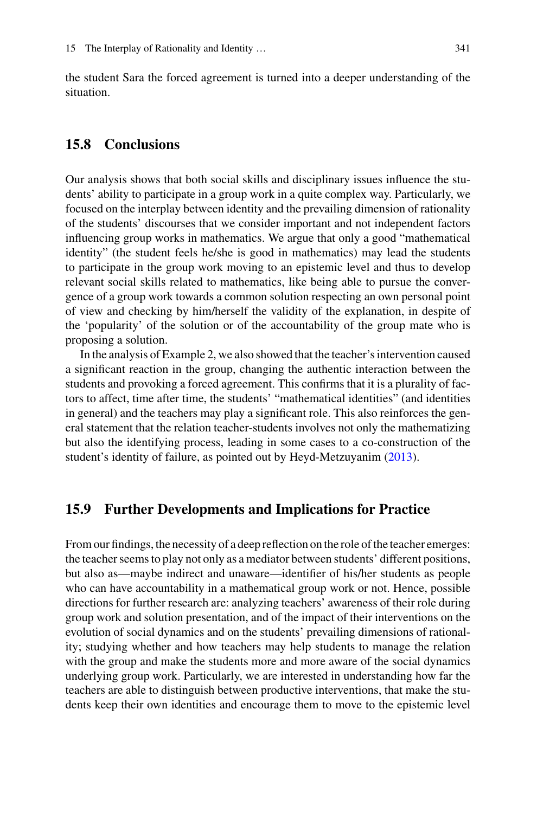the student Sara the forced agreement is turned into a deeper understanding of the situation.

#### **15.8 Conclusions**

Our analysis shows that both social skills and disciplinary issues influence the students' ability to participate in a group work in a quite complex way. Particularly, we focused on the interplay between identity and the prevailing dimension of rationality of the students' discourses that we consider important and not independent factors influencing group works in mathematics. We argue that only a good "mathematical identity" (the student feels he/she is good in mathematics) may lead the students to participate in the group work moving to an epistemic level and thus to develop relevant social skills related to mathematics, like being able to pursue the convergence of a group work towards a common solution respecting an own personal point of view and checking by him/herself the validity of the explanation, in despite of the 'popularity' of the solution or of the accountability of the group mate who is proposing a solution.

In the analysis of Example 2, we also showed that the teacher's intervention caused a significant reaction in the group, changing the authentic interaction between the students and provoking a forced agreement. This confirms that it is a plurality of factors to affect, time after time, the students' "mathematical identities" (and identities in general) and the teachers may play a significant role. This also reinforces the general statement that the relation teacher-students involves not only the mathematizing but also the identifying process, leading in some cases to a co-construction of the student's identity of failure, as pointed out by Heyd-Metzuyanim [\(2013\)](#page-19-5).

#### **15.9 Further Developments and Implications for Practice**

From our findings, the necessity of a deep reflection on the role of the teacher emerges: the teacher seems to play not only as a mediator between students' different positions, but also as—maybe indirect and unaware—identifier of his/her students as people who can have accountability in a mathematical group work or not. Hence, possible directions for further research are: analyzing teachers' awareness of their role during group work and solution presentation, and of the impact of their interventions on the evolution of social dynamics and on the students' prevailing dimensions of rationality; studying whether and how teachers may help students to manage the relation with the group and make the students more and more aware of the social dynamics underlying group work. Particularly, we are interested in understanding how far the teachers are able to distinguish between productive interventions, that make the students keep their own identities and encourage them to move to the epistemic level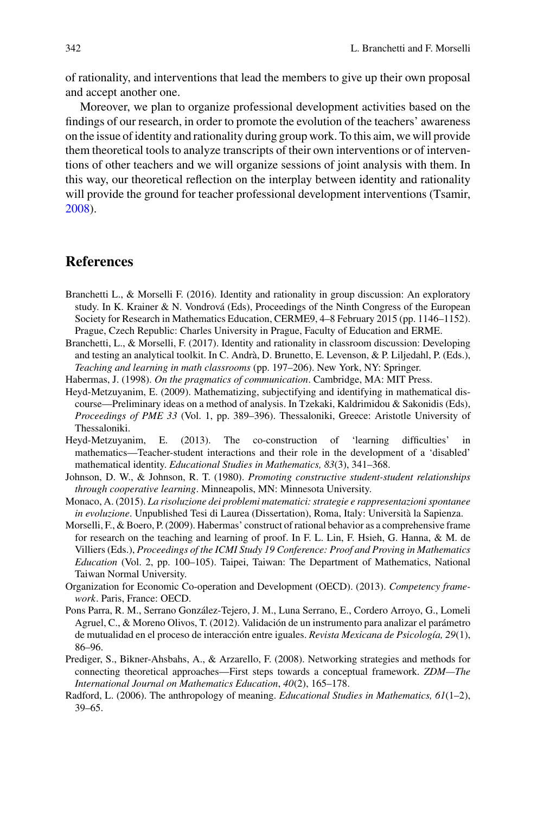of rationality, and interventions that lead the members to give up their own proposal and accept another one.

Moreover, we plan to organize professional development activities based on the findings of our research, in order to promote the evolution of the teachers' awareness on the issue of identity and rationality during group work. To this aim, we will provide them theoretical tools to analyze transcripts of their own interventions or of interventions of other teachers and we will organize sessions of joint analysis with them. In this way, our theoretical reflection on the interplay between identity and rationality will provide the ground for teacher professional development interventions (Tsamir, [2008\)](#page-20-8).

#### **References**

- <span id="page-19-9"></span>Branchetti L., & Morselli F. (2016). Identity and rationality in group discussion: An exploratory study. In K. Krainer & N. Vondrová (Eds), Proceedings of the Ninth Congress of the European Society for Research in Mathematics Education, CERME9, 4–8 February 2015 (pp. 1146–1152). Prague, Czech Republic: Charles University in Prague, Faculty of Education and ERME.
- <span id="page-19-10"></span>Branchetti, L., & Morselli, F. (2017). Identity and rationality in classroom discussion: Developing and testing an analytical toolkit. In C. Andrà, D. Brunetto, E. Levenson, & P. Liljedahl, P. (Eds.), *Teaching and learning in math classrooms* (pp. 197–206). New York, NY: Springer.
- <span id="page-19-6"></span>Habermas, J. (1998). *On the pragmatics of communication*. Cambridge, MA: MIT Press.
- <span id="page-19-4"></span>Heyd-Metzuyanim, E. (2009). Mathematizing, subjectifying and identifying in mathematical discourse—Preliminary ideas on a method of analysis. In Tzekaki, Kaldrimidou & Sakonidis (Eds), *Proceedings of PME 33* (Vol. 1, pp. 389–396). Thessaloniki, Greece: Aristotle University of Thessaloniki.
- <span id="page-19-5"></span>Heyd-Metzuyanim, E. (2013). The co-construction of 'learning difficulties' in mathematics—Teacher-student interactions and their role in the development of a 'disabled' mathematical identity. *Educational Studies in Mathematics, 83*(3), 341–368.
- <span id="page-19-1"></span>Johnson, D. W., & Johnson, R. T. (1980). *Promoting constructive student-student relationships through cooperative learning*. Minneapolis, MN: Minnesota University.
- <span id="page-19-11"></span>Monaco, A. (2015). *La risoluzione dei problemi matematici: strategie e rappresentazioni spontanee in evoluzione*. Unpublished Tesi di Laurea (Dissertation), Roma, Italy: Università la Sapienza.
- <span id="page-19-7"></span>Morselli, F., & Boero, P. (2009). Habermas' construct of rational behavior as a comprehensive frame for research on the teaching and learning of proof. In F. L. Lin, F. Hsieh, G. Hanna, & M. de Villiers (Eds.), *Proceedings of the ICMI Study 19 Conference: Proof and Proving in Mathematics Education* (Vol. 2, pp. 100–105). Taipei, Taiwan: The Department of Mathematics, National Taiwan Normal University.
- <span id="page-19-0"></span>Organization for Economic Co-operation and Development (OECD). (2013). *Competency framework*. Paris, France: OECD.
- <span id="page-19-2"></span>Pons Parra, R. M., Serrano González-Tejero, J. M., Luna Serrano, E., Cordero Arroyo, G., Lomeli Agruel, C., & Moreno Olivos, T. (2012). Validación de un instrumento para analizar el parámetro de mutualidad en el proceso de interacción entre iguales. *Revista Mexicana de Psicología, 29*(1), 86–96.
- <span id="page-19-8"></span>Prediger, S., Bikner-Ahsbahs, A., & Arzarello, F. (2008). Networking strategies and methods for connecting theoretical approaches—First steps towards a conceptual framework. *ZDM—The International Journal on Mathematics Education*, *40*(2), 165–178.
- <span id="page-19-3"></span>Radford, L. (2006). The anthropology of meaning. *Educational Studies in Mathematics, 61*(1–2), 39–65.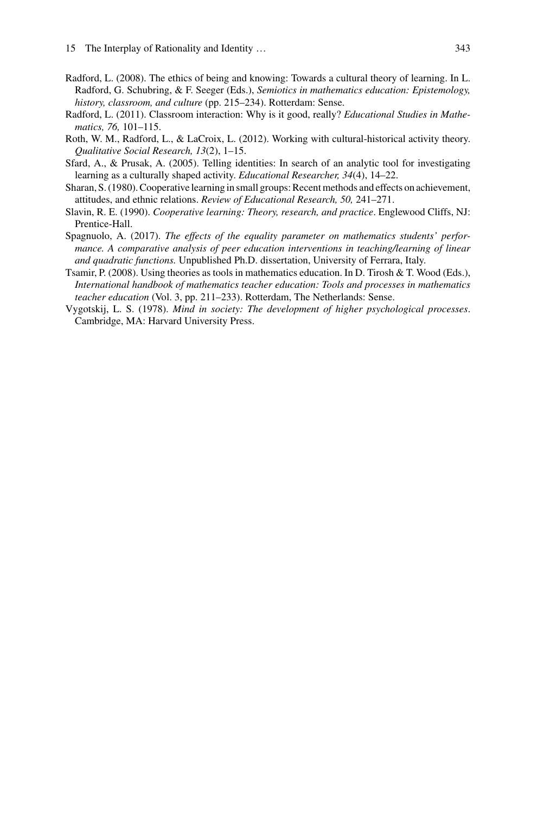- <span id="page-20-6"></span>Radford, L. (2008). The ethics of being and knowing: Towards a cultural theory of learning. In L. Radford, G. Schubring, & F. Seeger (Eds.), *Semiotics in mathematics education: Epistemology, history, classroom, and culture* (pp. 215–234). Rotterdam: Sense.
- <span id="page-20-0"></span>Radford, L. (2011). Classroom interaction: Why is it good, really? *Educational Studies in Mathematics, 76,* 101–115.
- <span id="page-20-5"></span>Roth, W. M., Radford, L., & LaCroix, L. (2012). Working with cultural-historical activity theory. *Qualitative Social Research, 13*(2), 1–15.
- <span id="page-20-7"></span>Sfard, A., & Prusak, A. (2005). Telling identities: In search of an analytic tool for investigating learning as a culturally shaped activity. *Educational Researcher, 34*(4), 14–22.
- <span id="page-20-1"></span>Sharan, S. (1980). Cooperative learning in small groups: Recent methods and effects on achievement, attitudes, and ethnic relations. *Review of Educational Research, 50,* 241–271.
- <span id="page-20-2"></span>Slavin, R. E. (1990). *Cooperative learning: Theory, research, and practice*. Englewood Cliffs, NJ: Prentice-Hall.
- <span id="page-20-3"></span>Spagnuolo, A. (2017). *The effects of the equality parameter on mathematics students' performance. A comparative analysis of peer education interventions in teaching/learning of linear and quadratic functions.* Unpublished Ph.D. dissertation, University of Ferrara, Italy.
- <span id="page-20-8"></span>Tsamir, P. (2008). Using theories as tools in mathematics education. In D. Tirosh & T. Wood (Eds.), *International handbook of mathematics teacher education: Tools and processes in mathematics teacher education* (Vol. 3, pp. 211–233). Rotterdam, The Netherlands: Sense.
- <span id="page-20-4"></span>Vygotskij, L. S. (1978). *Mind in society: The development of higher psychological processes*. Cambridge, MA: Harvard University Press.